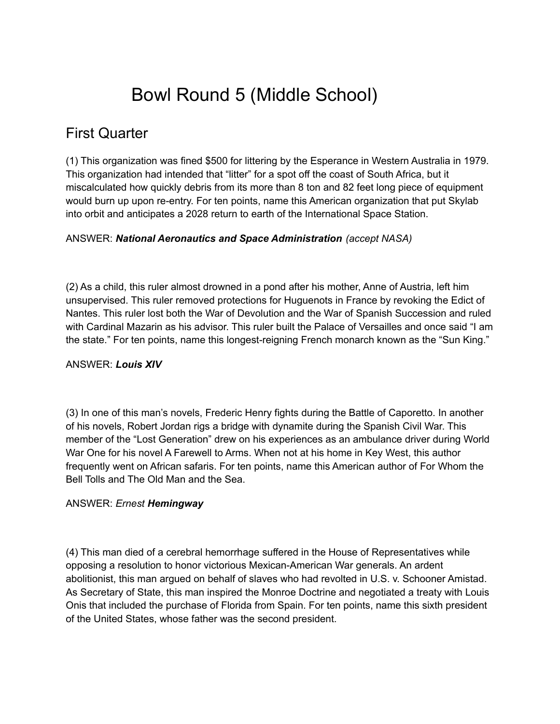# Bowl Round 5 (Middle School)

# First Quarter

(1) This organization was fined \$500 for littering by the Esperance in Western Australia in 1979. This organization had intended that "litter" for a spot off the coast of South Africa, but it miscalculated how quickly debris from its more than 8 ton and 82 feet long piece of equipment would burn up upon re-entry. For ten points, name this American organization that put Skylab into orbit and anticipates a 2028 return to earth of the International Space Station.

# ANSWER: *National Aeronautics and Space Administration (accept NASA)*

(2) As a child, this ruler almost drowned in a pond after his mother, Anne of Austria, left him unsupervised. This ruler removed protections for Huguenots in France by revoking the Edict of Nantes. This ruler lost both the War of Devolution and the War of Spanish Succession and ruled with Cardinal Mazarin as his advisor. This ruler built the Palace of Versailles and once said "I am the state." For ten points, name this longest-reigning French monarch known as the "Sun King."

# ANSWER: *Louis XIV*

(3) In one of this man's novels, Frederic Henry fights during the Battle of Caporetto. In another of his novels, Robert Jordan rigs a bridge with dynamite during the Spanish Civil War. This member of the "Lost Generation" drew on his experiences as an ambulance driver during World War One for his novel A Farewell to Arms. When not at his home in Key West, this author frequently went on African safaris. For ten points, name this American author of For Whom the Bell Tolls and The Old Man and the Sea.

### ANSWER: *Ernest Hemingway*

(4) This man died of a cerebral hemorrhage suffered in the House of Representatives while opposing a resolution to honor victorious Mexican-American War generals. An ardent abolitionist, this man argued on behalf of slaves who had revolted in U.S. v. Schooner Amistad. As Secretary of State, this man inspired the Monroe Doctrine and negotiated a treaty with Louis Onis that included the purchase of Florida from Spain. For ten points, name this sixth president of the United States, whose father was the second president.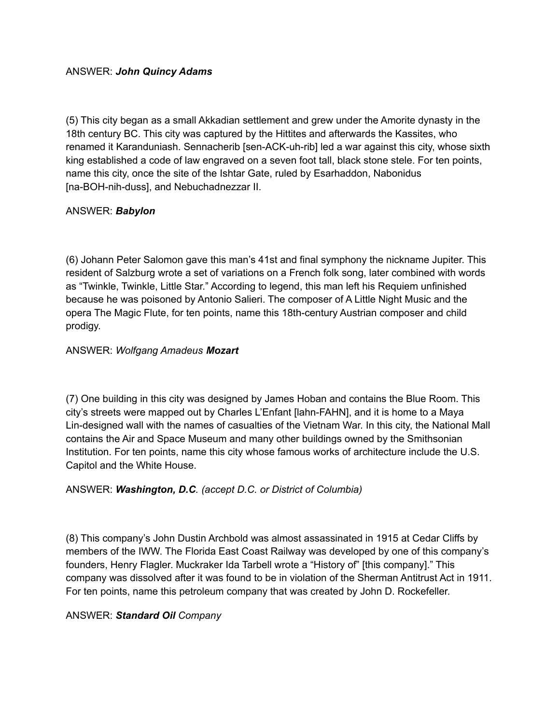### ANSWER: *John Quincy Adams*

(5) This city began as a small Akkadian settlement and grew under the Amorite dynasty in the 18th century BC. This city was captured by the Hittites and afterwards the Kassites, who renamed it Karanduniash. Sennacherib [sen-ACK-uh-rib] led a war against this city, whose sixth king established a code of law engraved on a seven foot tall, black stone stele. For ten points, name this city, once the site of the Ishtar Gate, ruled by Esarhaddon, Nabonidus [na-BOH-nih-duss], and Nebuchadnezzar II.

# ANSWER: *Babylon*

(6) Johann Peter Salomon gave this man's 41st and final symphony the nickname Jupiter. This resident of Salzburg wrote a set of variations on a French folk song, later combined with words as "Twinkle, Twinkle, Little Star." According to legend, this man left his Requiem unfinished because he was poisoned by Antonio Salieri. The composer of A Little Night Music and the opera The Magic Flute, for ten points, name this 18th-century Austrian composer and child prodigy.

# ANSWER: *Wolfgang Amadeus Mozart*

(7) One building in this city was designed by James Hoban and contains the Blue Room. This city's streets were mapped out by Charles L'Enfant [lahn-FAHN], and it is home to a Maya Lin-designed wall with the names of casualties of the Vietnam War. In this city, the National Mall contains the Air and Space Museum and many other buildings owned by the Smithsonian Institution. For ten points, name this city whose famous works of architecture include the U.S. Capitol and the White House.

# ANSWER: *Washington, D.C. (accept D.C. or District of Columbia)*

(8) This company's John Dustin Archbold was almost assassinated in 1915 at Cedar Cliffs by members of the IWW. The Florida East Coast Railway was developed by one of this company's founders, Henry Flagler. Muckraker Ida Tarbell wrote a "History of" [this company]." This company was dissolved after it was found to be in violation of the Sherman Antitrust Act in 1911. For ten points, name this petroleum company that was created by John D. Rockefeller.

### ANSWER: *Standard Oil Company*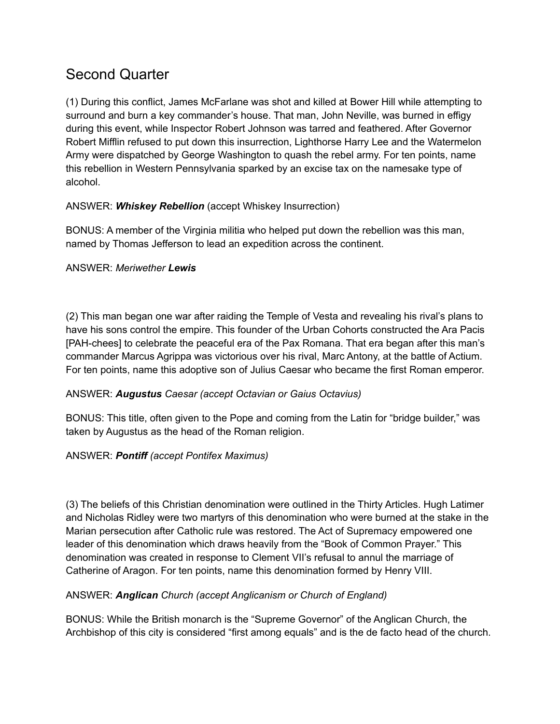# Second Quarter

(1) During this conflict, James McFarlane was shot and killed at Bower Hill while attempting to surround and burn a key commander's house. That man, John Neville, was burned in effigy during this event, while Inspector Robert Johnson was tarred and feathered. After Governor Robert Mifflin refused to put down this insurrection, Lighthorse Harry Lee and the Watermelon Army were dispatched by George Washington to quash the rebel army. For ten points, name this rebellion in Western Pennsylvania sparked by an excise tax on the namesake type of alcohol.

# ANSWER: *Whiskey Rebellion* (accept Whiskey Insurrection)

BONUS: A member of the Virginia militia who helped put down the rebellion was this man, named by Thomas Jefferson to lead an expedition across the continent.

# ANSWER: *Meriwether Lewis*

(2) This man began one war after raiding the Temple of Vesta and revealing his rival's plans to have his sons control the empire. This founder of the Urban Cohorts constructed the Ara Pacis [PAH-chees] to celebrate the peaceful era of the Pax Romana. That era began after this man's commander Marcus Agrippa was victorious over his rival, Marc Antony, at the battle of Actium. For ten points, name this adoptive son of Julius Caesar who became the first Roman emperor.

# ANSWER: *Augustus Caesar (accept Octavian or Gaius Octavius)*

BONUS: This title, often given to the Pope and coming from the Latin for "bridge builder," was taken by Augustus as the head of the Roman religion.

# ANSWER: *Pontiff (accept Pontifex Maximus)*

(3) The beliefs of this Christian denomination were outlined in the Thirty Articles. Hugh Latimer and Nicholas Ridley were two martyrs of this denomination who were burned at the stake in the Marian persecution after Catholic rule was restored. The Act of Supremacy empowered one leader of this denomination which draws heavily from the "Book of Common Prayer." This denomination was created in response to Clement VII's refusal to annul the marriage of Catherine of Aragon. For ten points, name this denomination formed by Henry VIII.

# ANSWER: *Anglican Church (accept Anglicanism or Church of England)*

BONUS: While the British monarch is the "Supreme Governor" of the Anglican Church, the Archbishop of this city is considered "first among equals" and is the de facto head of the church.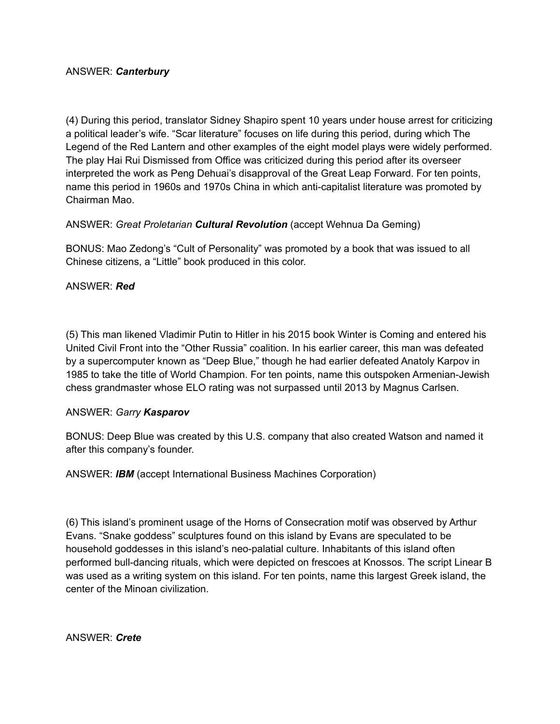(4) During this period, translator Sidney Shapiro spent 10 years under house arrest for criticizing a political leader's wife. "Scar literature" focuses on life during this period, during which The Legend of the Red Lantern and other examples of the eight model plays were widely performed. The play Hai Rui Dismissed from Office was criticized during this period after its overseer interpreted the work as Peng Dehuai's disapproval of the Great Leap Forward. For ten points, name this period in 1960s and 1970s China in which anti-capitalist literature was promoted by Chairman Mao.

ANSWER: *Great Proletarian Cultural Revolution* (accept Wehnua Da Geming)

BONUS: Mao Zedong's "Cult of Personality" was promoted by a book that was issued to all Chinese citizens, a "Little" book produced in this color.

## ANSWER: *Red*

(5) This man likened Vladimir Putin to Hitler in his 2015 book Winter is Coming and entered his United Civil Front into the "Other Russia" coalition. In his earlier career, this man was defeated by a supercomputer known as "Deep Blue," though he had earlier defeated Anatoly Karpov in 1985 to take the title of World Champion. For ten points, name this outspoken Armenian-Jewish chess grandmaster whose ELO rating was not surpassed until 2013 by Magnus Carlsen.

### ANSWER: *Garry Kasparov*

BONUS: Deep Blue was created by this U.S. company that also created Watson and named it after this company's founder.

ANSWER: *IBM* (accept International Business Machines Corporation)

(6) This island's prominent usage of the Horns of Consecration motif was observed by Arthur Evans. "Snake goddess" sculptures found on this island by Evans are speculated to be household goddesses in this island's neo-palatial culture. Inhabitants of this island often performed bull-dancing rituals, which were depicted on frescoes at Knossos. The script Linear B was used as a writing system on this island. For ten points, name this largest Greek island, the center of the Minoan civilization.

ANSWER: *Crete*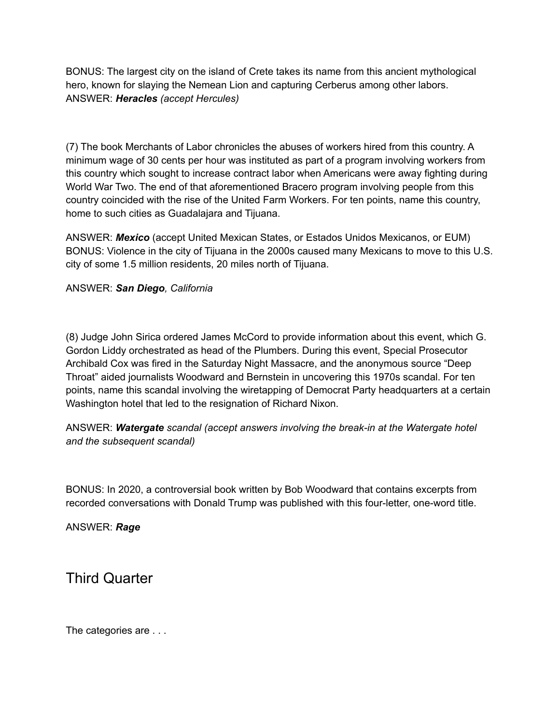BONUS: The largest city on the island of Crete takes its name from this ancient mythological hero, known for slaying the Nemean Lion and capturing Cerberus among other labors. ANSWER: *Heracles (accept Hercules)*

(7) The book Merchants of Labor chronicles the abuses of workers hired from this country. A minimum wage of 30 cents per hour was instituted as part of a program involving workers from this country which sought to increase contract labor when Americans were away fighting during World War Two. The end of that aforementioned Bracero program involving people from this country coincided with the rise of the United Farm Workers. For ten points, name this country, home to such cities as Guadalajara and Tijuana.

ANSWER: *Mexico* (accept United Mexican States, or Estados Unidos Mexicanos, or EUM) BONUS: Violence in the city of Tijuana in the 2000s caused many Mexicans to move to this U.S. city of some 1.5 million residents, 20 miles north of Tijuana.

ANSWER: *San Diego, California*

(8) Judge John Sirica ordered James McCord to provide information about this event, which G. Gordon Liddy orchestrated as head of the Plumbers. During this event, Special Prosecutor Archibald Cox was fired in the Saturday Night Massacre, and the anonymous source "Deep Throat" aided journalists Woodward and Bernstein in uncovering this 1970s scandal. For ten points, name this scandal involving the wiretapping of Democrat Party headquarters at a certain Washington hotel that led to the resignation of Richard Nixon.

ANSWER: *Watergate scandal (accept answers involving the break-in at the Watergate hotel and the subsequent scandal)*

BONUS: In 2020, a controversial book written by Bob Woodward that contains excerpts from recorded conversations with Donald Trump was published with this four-letter, one-word title.

ANSWER: *Rage*

Third Quarter

The categories are . . .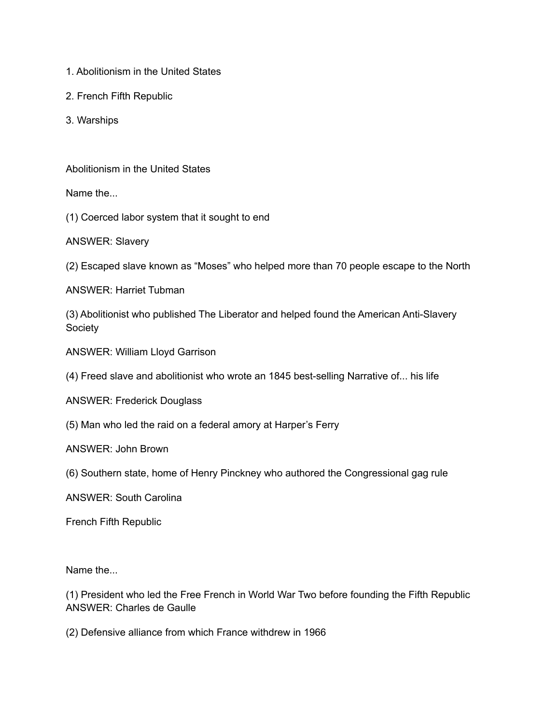- 1. Abolitionism in the United States
- 2. French Fifth Republic
- 3. Warships

Abolitionism in the United States

Name the...

(1) Coerced labor system that it sought to end

ANSWER: Slavery

(2) Escaped slave known as "Moses" who helped more than 70 people escape to the North

ANSWER: Harriet Tubman

(3) Abolitionist who published The Liberator and helped found the American Anti-Slavery Society

ANSWER: William Lloyd Garrison

(4) Freed slave and abolitionist who wrote an 1845 best-selling Narrative of... his life

ANSWER: Frederick Douglass

(5) Man who led the raid on a federal amory at Harper's Ferry

ANSWER: John Brown

(6) Southern state, home of Henry Pinckney who authored the Congressional gag rule

ANSWER: South Carolina

French Fifth Republic

Name the...

(1) President who led the Free French in World War Two before founding the Fifth Republic ANSWER: Charles de Gaulle

(2) Defensive alliance from which France withdrew in 1966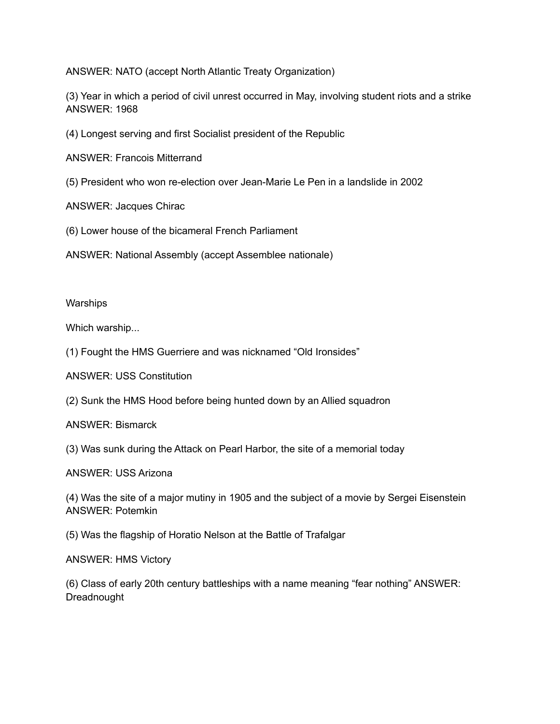ANSWER: NATO (accept North Atlantic Treaty Organization)

(3) Year in which a period of civil unrest occurred in May, involving student riots and a strike ANSWER: 1968

(4) Longest serving and first Socialist president of the Republic

ANSWER: Francois Mitterrand

(5) President who won re-election over Jean-Marie Le Pen in a landslide in 2002

ANSWER: Jacques Chirac

(6) Lower house of the bicameral French Parliament

ANSWER: National Assembly (accept Assemblee nationale)

**Warships** 

Which warship...

(1) Fought the HMS Guerriere and was nicknamed "Old Ironsides"

ANSWER: USS Constitution

(2) Sunk the HMS Hood before being hunted down by an Allied squadron

ANSWER: Bismarck

(3) Was sunk during the Attack on Pearl Harbor, the site of a memorial today

ANSWER: USS Arizona

(4) Was the site of a major mutiny in 1905 and the subject of a movie by Sergei Eisenstein ANSWER: Potemkin

(5) Was the flagship of Horatio Nelson at the Battle of Trafalgar

ANSWER: HMS Victory

(6) Class of early 20th century battleships with a name meaning "fear nothing" ANSWER: Dreadnought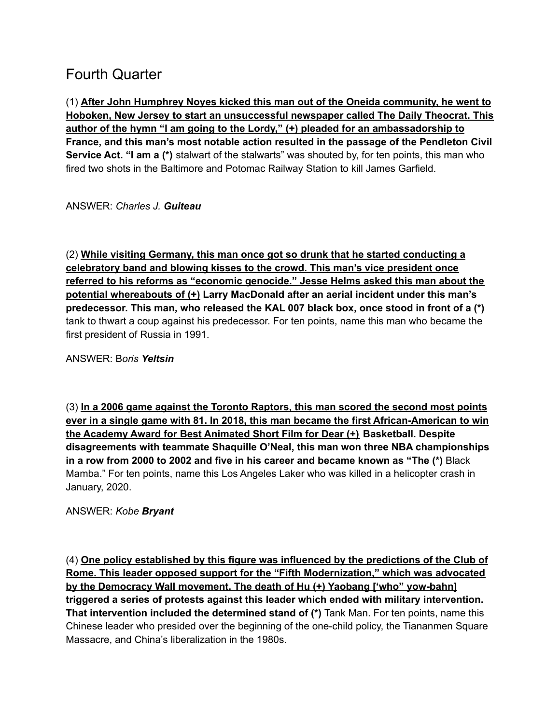# Fourth Quarter

(1) **After John Humphrey Noyes kicked this man out of the Oneida community, he went to Hoboken, New Jersey to start an unsuccessful newspaper called The Daily Theocrat. This author of the hymn "I am going to the Lordy," (+) pleaded for an ambassadorship to France, and this man's most notable action resulted in the passage of the Pendleton Civil Service Act. "I am a (\*)** stalwart of the stalwarts" was shouted by, for ten points, this man who fired two shots in the Baltimore and Potomac Railway Station to kill James Garfield.

ANSWER: *Charles J. Guiteau*

(2) **While visiting Germany, this man once got so drunk that he started conducting a celebratory band and blowing kisses to the crowd. This man's vice president once referred to his reforms as "economic genocide." Jesse Helms asked this man about the potential whereabouts of (+) Larry MacDonald after an aerial incident under this man's predecessor. This man, who released the KAL 007 black box, once stood in front of a (\*)** tank to thwart a coup against his predecessor. For ten points, name this man who became the first president of Russia in 1991.

ANSWER: B*oris Yeltsin*

(3) **In a 2006 game against the Toronto Raptors, this man scored the second most points ever in a single game with 81. In 2018, this man became the first African-American to win the Academy Award for Best Animated Short Film for Dear (+) Basketball. Despite disagreements with teammate Shaquille O'Neal, this man won three NBA championships in a row from 2000 to 2002 and five in his career and became known as "The (\*)** Black Mamba." For ten points, name this Los Angeles Laker who was killed in a helicopter crash in January, 2020.

ANSWER: *Kobe Bryant*

(4) **One policy established by this figure was influenced by the predictions of the Club of Rome. This leader opposed support for the "Fifth Modernization," which was advocated by the Democracy Wall movement. The death of Hu (+) Yaobang ['who" yow-bahn] triggered a series of protests against this leader which ended with military intervention. That intervention included the determined stand of (\*)** Tank Man. For ten points, name this Chinese leader who presided over the beginning of the one-child policy, the Tiananmen Square Massacre, and China's liberalization in the 1980s.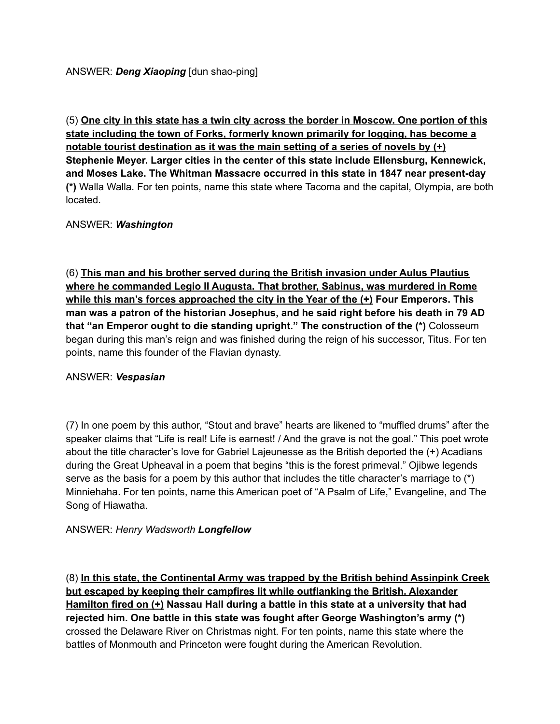(5) **One city in this state has a twin city across the border in Moscow. One portion of this state including the town of Forks, formerly known primarily for logging, has become a notable tourist destination as it was the main setting of a series of novels by (+) Stephenie Meyer. Larger cities in the center of this state include Ellensburg, Kennewick, and Moses Lake. The Whitman Massacre occurred in this state in 1847 near present-day (\*)** Walla Walla. For ten points, name this state where Tacoma and the capital, Olympia, are both located.

## ANSWER: *Washington*

(6) **This man and his brother served during the British invasion under Aulus Plautius where he commanded Legio II Augusta. That brother, Sabinus, was murdered in Rome while this man's forces approached the city in the Year of the (+) Four Emperors. This man was a patron of the historian Josephus, and he said right before his death in 79 AD that "an Emperor ought to die standing upright." The construction of the (\*)** Colosseum began during this man's reign and was finished during the reign of his successor, Titus. For ten points, name this founder of the Flavian dynasty.

### ANSWER: *Vespasian*

(7) In one poem by this author, "Stout and brave" hearts are likened to "muffled drums" after the speaker claims that "Life is real! Life is earnest! / And the grave is not the goal." This poet wrote about the title character's love for Gabriel Lajeunesse as the British deported the (+) Acadians during the Great Upheaval in a poem that begins "this is the forest primeval." Ojibwe legends serve as the basis for a poem by this author that includes the title character's marriage to (\*) Minniehaha. For ten points, name this American poet of "A Psalm of Life," Evangeline, and The Song of Hiawatha.

### ANSWER: *Henry Wadsworth Longfellow*

(8) **In this state, the Continental Army was trapped by the British behind Assinpink Creek but escaped by keeping their campfires lit while outflanking the British. Alexander Hamilton fired on (+) Nassau Hall during a battle in this state at a university that had rejected him. One battle in this state was fought after George Washington's army (\*)** crossed the Delaware River on Christmas night. For ten points, name this state where the battles of Monmouth and Princeton were fought during the American Revolution.